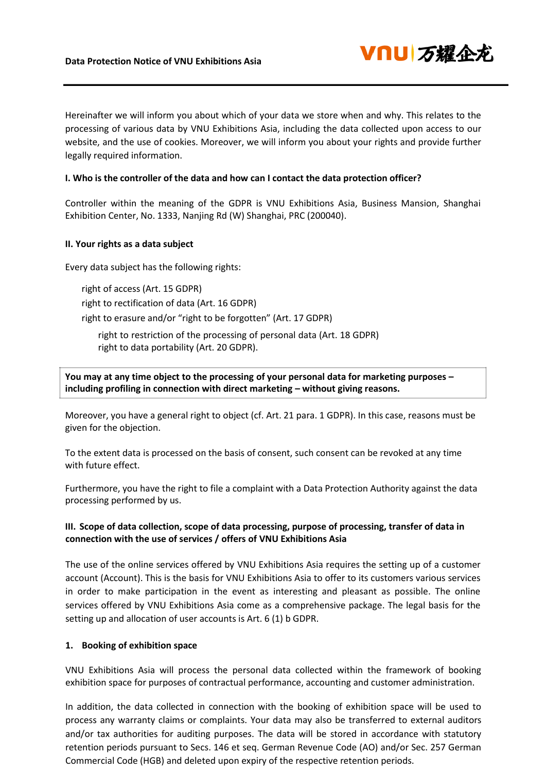

Hereinafter we will inform you about which of your data we store when and why. This relates to the processing of various data by VNU Exhibitions Asia, including the data collected upon access to our website, and the use of cookies. Moreover, we will inform you about your rights and provide further legally required information.

#### **I. Who is the controller of the data and how can I contact the data protection officer?**

Controller within the meaning of the GDPR is VNU Exhibitions Asia, Business Mansion, Shanghai Exhibition Center, No. 1333, Nanjing Rd (W) Shanghai, PRC (200040).

#### **II. Your rights as a data subject**

Every data subject has the following rights:

right of access (Art. 15 GDPR) right to rectification of data (Art. 16 GDPR) right to erasure and/or "right to be forgotten" (Art. 17 GDPR)

right to restriction of the processing of personal data (Art. 18 GDPR) right to data portability (Art. 20 GDPR).

**You may at any time object to the processing of your personal data for marketing purposes – including profiling in connection with direct marketing – without giving reasons.**

Moreover, you have a general right to object (cf. Art. 21 para. 1 GDPR). In this case, reasons must be given for the objection.

To the extent data is processed on the basis of consent, such consent can be revoked at any time with future effect.

Furthermore, you have the right to file a complaint with a Data Protection Authority against the data processing performed by us.

### **III. Scope of data collection, scope of data processing, purpose of processing, transfer of data in connection with the use of services / offers of VNU Exhibitions Asia**

The use of the online services offered by VNU Exhibitions Asia requires the setting up of a customer account (Account). This is the basis for VNU Exhibitions Asia to offer to its customers various services in order to make participation in the event as interesting and pleasant as possible. The online services offered by VNU Exhibitions Asia come as a comprehensive package. The legal basis for the setting up and allocation of user accounts is Art. 6 (1) b GDPR.

#### **1. Booking of exhibition space**

VNU Exhibitions Asia will process the personal data collected within the framework of booking exhibition space for purposes of contractual performance, accounting and customer administration.

In addition, the data collected in connection with the booking of exhibition space will be used to process any warranty claims or complaints. Your data may also be transferred to external auditors and/or tax authorities for auditing purposes. The data will be stored in accordance with statutory retention periods pursuant to Secs. 146 et seq. German Revenue Code (AO) and/or Sec. 257 German Commercial Code (HGB) and deleted upon expiry of the respective retention periods.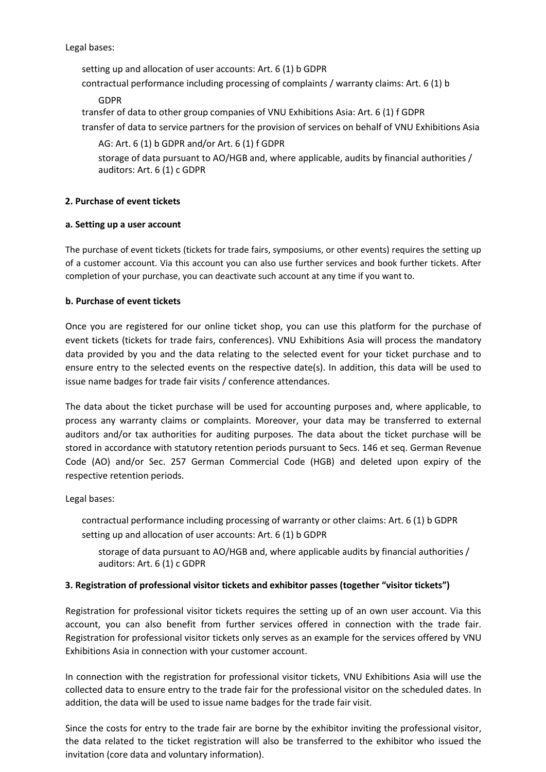Legal bases:

setting up and allocation of user accounts: Art. 6 (1) b GDPR contractual performance including processing of complaints / warranty claims: Art. 6 (1) b GDPR transfer of data to other group companies of VNU Exhibitions Asia: Art. 6 (1) f GDPR transfer of data to service partners for the provision of services on behalf of VNU Exhibitions Asia

AG: Art. 6 (1) b GDPR and/or Art. 6 (1) f GDPR storage of data pursuant to AO/HGB and, where applicable, audits by financial authorities / auditors: Art. 6 (1) c GDPR

# **2. Purchase of event tickets**

### **a. Setting up a user account**

The purchase of event tickets (tickets for trade fairs, symposiums, or other events) requires the setting up of a customer account. Via this account you can also use further services and book further tickets. After completion of your purchase, you can deactivate such account at any time if you want to.

# **b. Purchase of event tickets**

Once you are registered for our online ticket shop, you can use this platform for the purchase of event tickets (tickets for trade fairs, conferences). VNU Exhibitions Asia will process the mandatory data provided by you and the data relating to the selected event for your ticket purchase and to ensure entry to the selected events on the respective date(s). In addition, this data will be used to issue name badges for trade fair visits / conference attendances.

The data about the ticket purchase will be used for accounting purposes and, where applicable, to process any warranty claims or complaints. Moreover, your data may be transferred to external auditors and/or tax authorities for auditing purposes. The data about the ticket purchase will be stored in accordance with statutory retention periods pursuant to Secs. 146 et seq. German Revenue Code (AO) and/or Sec. 257 German Commercial Code (HGB) and deleted upon expiry of the respective retention periods.

Legal bases:

contractual performance including processing of warranty or other claims: Art. 6 (1) b GDPR setting up and allocation of user accounts: Art. 6 (1) b GDPR

storage of data pursuant to AO/HGB and, where applicable audits by financial authorities / auditors: Art. 6 (1) c GDPR

# **3. Registration of professional visitor tickets and exhibitor passes (together "visitor tickets")**

Registration for professional visitor tickets requires the setting up of an own user account. Via this account, you can also benefit from further services offered in connection with the trade fair. Registration for professional visitor tickets only serves as an example for the services offered by VNU Exhibitions Asia in connection with your customer account.

In connection with the registration for professional visitor tickets, VNU Exhibitions Asia will use the collected data to ensure entry to the trade fair for the professional visitor on the scheduled dates. In addition, the data will be used to issue name badges for the trade fair visit.

Since the costs for entry to the trade fair are borne by the exhibitor inviting the professional visitor, the data related to the ticket registration will also be transferred to the exhibitor who issued the invitation (core data and voluntary information).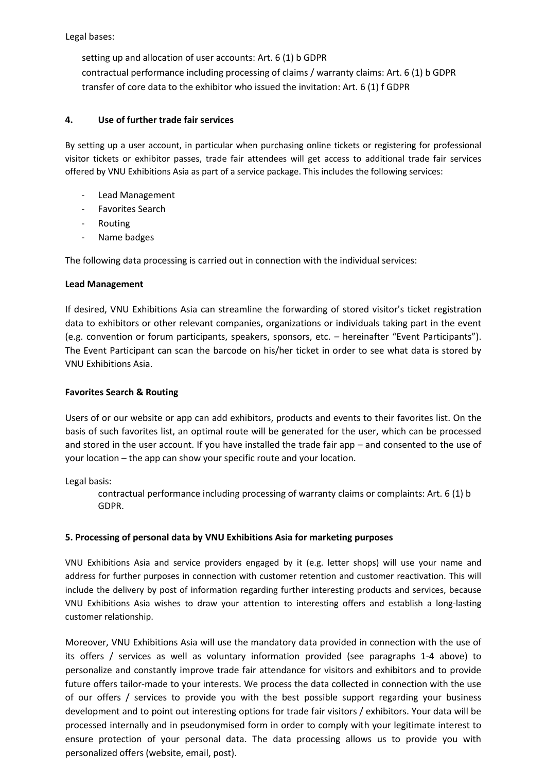Legal bases:

setting up and allocation of user accounts: Art. 6 (1) b GDPR contractual performance including processing of claims / warranty claims: Art. 6 (1) b GDPR transfer of core data to the exhibitor who issued the invitation: Art. 6 (1) f GDPR

### **4. Use of further trade fair services**

By setting up a user account, in particular when purchasing online tickets or registering for professional visitor tickets or exhibitor passes, trade fair attendees will get access to additional trade fair services offered by VNU Exhibitions Asia as part of a service package. This includes the following services:

- Lead Management
- Favorites Search
- **Routing**
- Name badges

The following data processing is carried out in connection with the individual services:

### **Lead Management**

If desired, VNU Exhibitions Asia can streamline the forwarding of stored visitor's ticket registration data to exhibitors or other relevant companies, organizations or individuals taking part in the event (e.g. convention or forum participants, speakers, sponsors, etc. – hereinafter "Event Participants"). The Event Participant can scan the barcode on his/her ticket in order to see what data is stored by VNU Exhibitions Asia.

#### **Favorites Search & Routing**

Users of or our website or app can add exhibitors, products and events to their favorites list. On the basis of such favorites list, an optimal route will be generated for the user, which can be processed and stored in the user account. If you have installed the trade fair app – and consented to the use of your location – the app can show your specific route and your location.

Legal basis:

contractual performance including processing of warranty claims or complaints: Art. 6 (1) b GDPR.

#### **5. Processing of personal data by VNU Exhibitions Asia for marketing purposes**

VNU Exhibitions Asia and service providers engaged by it (e.g. letter shops) will use your name and address for further purposes in connection with customer retention and customer reactivation. This will include the delivery by post of information regarding further interesting products and services, because VNU Exhibitions Asia wishes to draw your attention to interesting offers and establish a long-lasting customer relationship.

Moreover, VNU Exhibitions Asia will use the mandatory data provided in connection with the use of its offers / services as well as voluntary information provided (see paragraphs 1-4 above) to personalize and constantly improve trade fair attendance for visitors and exhibitors and to provide future offers tailor-made to your interests. We process the data collected in connection with the use of our offers / services to provide you with the best possible support regarding your business development and to point out interesting options for trade fair visitors / exhibitors. Your data will be processed internally and in pseudonymised form in order to comply with your legitimate interest to ensure protection of your personal data. The data processing allows us to provide you with personalized offers (website, email, post).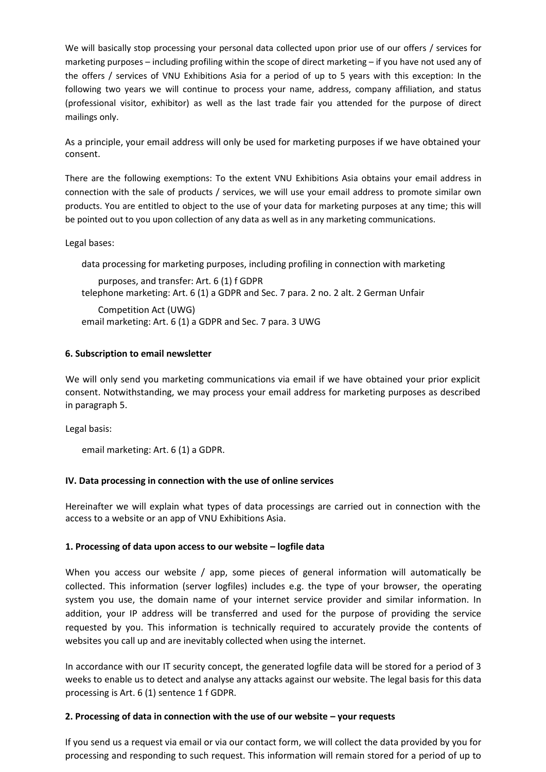We will basically stop processing your personal data collected upon prior use of our offers / services for marketing purposes – including profiling within the scope of direct marketing – if you have not used any of the offers / services of VNU Exhibitions Asia for a period of up to 5 years with this exception: In the following two years we will continue to process your name, address, company affiliation, and status (professional visitor, exhibitor) as well as the last trade fair you attended for the purpose of direct mailings only.

As a principle, your email address will only be used for marketing purposes if we have obtained your consent.

There are the following exemptions: To the extent VNU Exhibitions Asia obtains your email address in connection with the sale of products / services, we will use your email address to promote similar own products. You are entitled to object to the use of your data for marketing purposes at any time; this will be pointed out to you upon collection of any data as well as in any marketing communications.

Legal bases:

data processing for marketing purposes, including profiling in connection with marketing purposes, and transfer: Art. 6 (1) f GDPR telephone marketing: Art. 6 (1) a GDPR and Sec. 7 para. 2 no. 2 alt. 2 German Unfair Competition Act (UWG) email marketing: Art. 6 (1) a GDPR and Sec. 7 para. 3 UWG

### **6. Subscription to email newsletter**

We will only send you marketing communications via email if we have obtained your prior explicit consent. Notwithstanding, we may process your email address for marketing purposes as described in paragraph 5.

Legal basis:

email marketing: Art. 6 (1) a GDPR.

# **IV. Data processing in connection with the use of online services**

Hereinafter we will explain what types of data processings are carried out in connection with the access to a website or an app of VNU Exhibitions Asia.

#### **1. Processing of data upon access to our website – logfile data**

When you access our website / app, some pieces of general information will automatically be collected. This information (server logfiles) includes e.g. the type of your browser, the operating system you use, the domain name of your internet service provider and similar information. In addition, your IP address will be transferred and used for the purpose of providing the service requested by you. This information is technically required to accurately provide the contents of websites you call up and are inevitably collected when using the internet.

In accordance with our IT security concept, the generated logfile data will be stored for a period of 3 weeks to enable us to detect and analyse any attacks against our website. The legal basis for this data processing is Art. 6 (1) sentence 1 f GDPR.

### **2. Processing of data in connection with the use of our website – your requests**

If you send us a request via email or via our contact form, we will collect the data provided by you for processing and responding to such request. This information will remain stored for a period of up to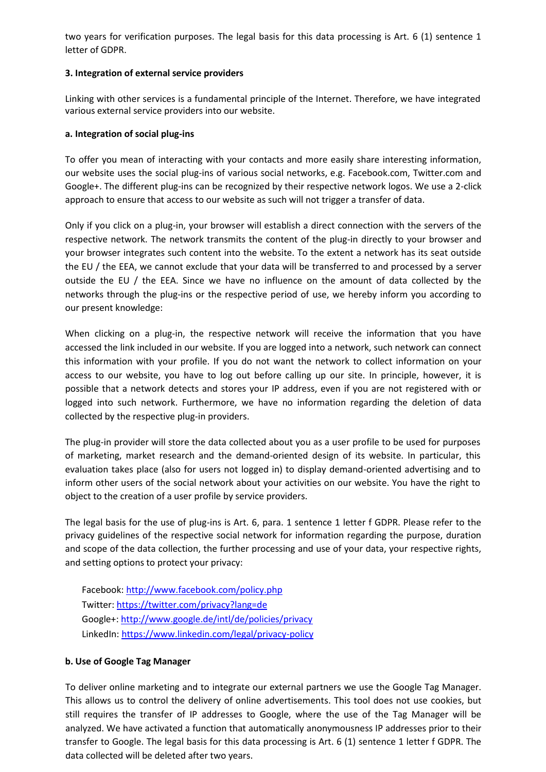two years for verification purposes. The legal basis for this data processing is Art. 6 (1) sentence 1 letter of GDPR.

### **3. Integration of external service providers**

Linking with other services is a fundamental principle of the Internet. Therefore, we have integrated various external service providers into our website.

### **a. Integration of social plug-ins**

To offer you mean of interacting with your contacts and more easily share interesting information, our website uses the social plug-ins of various social networks, e.g. Facebook.com, Twitter.com and Google+. The different plug-ins can be recognized by their respective network logos. We use a 2-click approach to ensure that access to our website as such will not trigger a transfer of data.

Only if you click on a plug-in, your browser will establish a direct connection with the servers of the respective network. The network transmits the content of the plug-in directly to your browser and your browser integrates such content into the website. To the extent a network has its seat outside the EU / the EEA, we cannot exclude that your data will be transferred to and processed by a server outside the EU / the EEA. Since we have no influence on the amount of data collected by the networks through the plug-ins or the respective period of use, we hereby inform you according to our present knowledge:

When clicking on a plug-in, the respective network will receive the information that you have accessed the link included in our website. If you are logged into a network, such network can connect this information with your profile. If you do not want the network to collect information on your access to our website, you have to log out before calling up our site. In principle, however, it is possible that a network detects and stores your IP address, even if you are not registered with or logged into such network. Furthermore, we have no information regarding the deletion of data collected by the respective plug-in providers.

The plug-in provider will store the data collected about you as a user profile to be used for purposes of marketing, market research and the demand-oriented design of its website. In particular, this evaluation takes place (also for users not logged in) to display demand-oriented advertising and to inform other users of the social network about your activities on our website. You have the right to object to the creation of a user profile by service providers.

The legal basis for the use of plug-ins is Art. 6, para. 1 sentence 1 letter f GDPR. Please refer to the privacy guidelines of the respective social network for information regarding the purpose, duration and scope of the data collection, the further processing and use of your data, your respective rights, and setting options to protect your privacy:

Facebook[: http://www.facebook.com/policy.php](http://www.facebook.com/policy.php) Twitter:<https://twitter.com/privacy?lang=de> Google+:<http://www.google.de/intl/de/policies/privacy> LinkedIn[: https://www.linkedin.com/legal/privacy-policy](https://www.linkedin.com/legal/privacy-policy)

# **b. Use of Google Tag Manager**

To deliver online marketing and to integrate our external partners we use the Google Tag Manager. This allows us to control the delivery of online advertisements. This tool does not use cookies, but still requires the transfer of IP addresses to Google, where the use of the Tag Manager will be analyzed. We have activated a function that automatically anonymousness IP addresses prior to their transfer to Google. The legal basis for this data processing is Art. 6 (1) sentence 1 letter f GDPR. The data collected will be deleted after two years.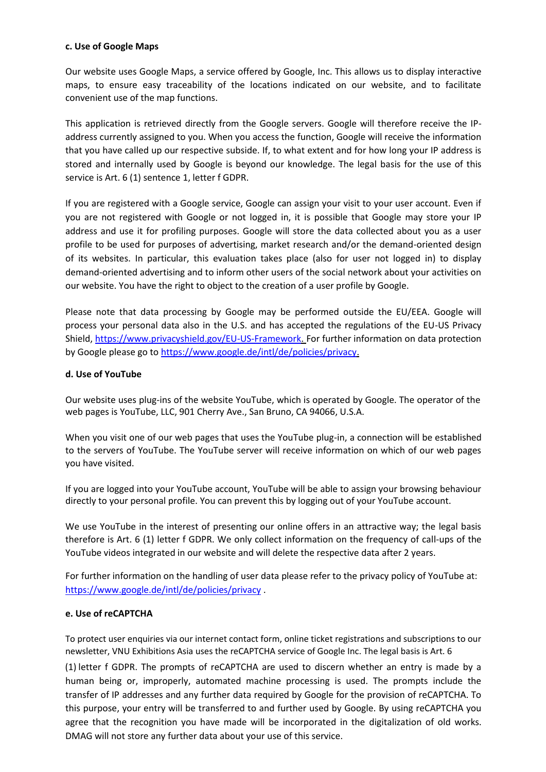### **c. Use of Google Maps**

Our website uses Google Maps, a service offered by Google, Inc. This allows us to display interactive maps, to ensure easy traceability of the locations indicated on our website, and to facilitate convenient use of the map functions.

This application is retrieved directly from the Google servers. Google will therefore receive the IPaddress currently assigned to you. When you access the function, Google will receive the information that you have called up our respective subside. If, to what extent and for how long your IP address is stored and internally used by Google is beyond our knowledge. The legal basis for the use of this service is Art. 6 (1) sentence 1, letter f GDPR.

If you are registered with a Google service, Google can assign your visit to your user account. Even if you are not registered with Google or not logged in, it is possible that Google may store your IP address and use it for profiling purposes. Google will store the data collected about you as a user profile to be used for purposes of advertising, market research and/or the demand-oriented design of its websites. In particular, this evaluation takes place (also for user not logged in) to display demand-oriented advertising and to inform other users of the social network about your activities on our website. You have the right to object to the creation of a user profile by Google.

Please note that data processing by Google may be performed outside the EU/EEA. Google will process your personal data also in the U.S. and has accepted the regulations of the EU-US Privacy Shield[, https://www.privacyshield.gov/EU-US-Framework](https://www.privacyshield.gov/EU-US-Framework). For further information on data protection by Google please go t[o https://www.google.de/intl/de/policies/privacy](https://www.google.de/intl/de/policies/privacy).

### **d. Use of YouTube**

Our website uses plug-ins of the website YouTube, which is operated by Google. The operator of the web pages is YouTube, LLC, 901 Cherry Ave., San Bruno, CA 94066, U.S.A.

When you visit one of our web pages that uses the YouTube plug-in, a connection will be established to the servers of YouTube. The YouTube server will receive information on which of our web pages you have visited.

If you are logged into your YouTube account, YouTube will be able to assign your browsing behaviour directly to your personal profile. You can prevent this by logging out of your YouTube account.

We use YouTube in the interest of presenting our online offers in an attractive way; the legal basis therefore is Art. 6 (1) letter f GDPR. We only collect information on the frequency of call-ups of the YouTube videos integrated in our website and will delete the respective data after 2 years.

For further information on the handling of user data please refer to the privacy policy of YouTube at: <https://www.google.de/intl/de/policies/privacy> .

#### **e. Use of reCAPTCHA**

To protect user enquiries via our internet contact form, online ticket registrations and subscriptions to our newsletter, VNU Exhibitions Asia uses the reCAPTCHA service of Google Inc. The legal basis is Art. 6

(1) letter f GDPR. The prompts of reCAPTCHA are used to discern whether an entry is made by a human being or, improperly, automated machine processing is used. The prompts include the transfer of IP addresses and any further data required by Google for the provision of reCAPTCHA. To this purpose, your entry will be transferred to and further used by Google. By using reCAPTCHA you agree that the recognition you have made will be incorporated in the digitalization of old works. DMAG will not store any further data about your use of this service.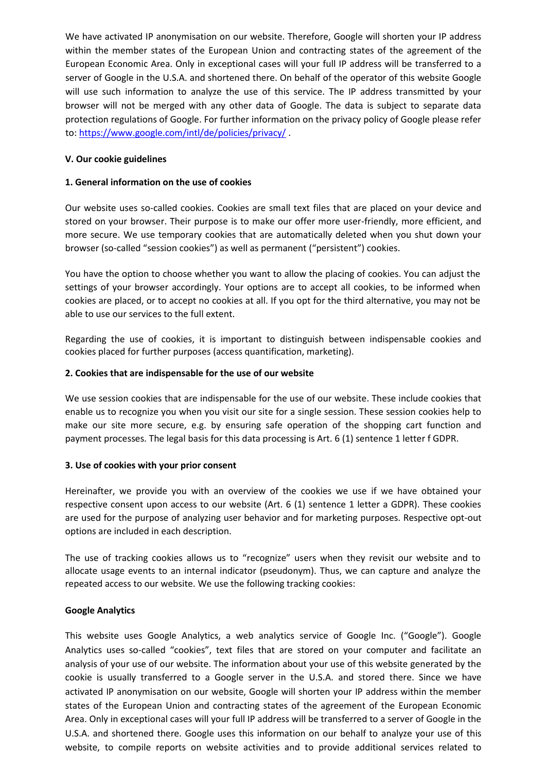We have activated IP anonymisation on our website. Therefore, Google will shorten your IP address within the member states of the European Union and contracting states of the agreement of the European Economic Area. Only in exceptional cases will your full IP address will be transferred to a server of Google in the U.S.A. and shortened there. On behalf of the operator of this website Google will use such information to analyze the use of this service. The IP address transmitted by your browser will not be merged with any other data of Google. The data is subject to separate data protection regulations of Google. For further information on the privacy policy of Google please refer to:<https://www.google.com/intl/de/policies/privacy/> .

# **V. Our cookie guidelines**

## **1. General information on the use of cookies**

Our website uses so-called cookies. Cookies are small text files that are placed on your device and stored on your browser. Their purpose is to make our offer more user-friendly, more efficient, and more secure. We use temporary cookies that are automatically deleted when you shut down your browser (so-called "session cookies") as well as permanent ("persistent") cookies.

You have the option to choose whether you want to allow the placing of cookies. You can adjust the settings of your browser accordingly. Your options are to accept all cookies, to be informed when cookies are placed, or to accept no cookies at all. If you opt for the third alternative, you may not be able to use our services to the full extent.

Regarding the use of cookies, it is important to distinguish between indispensable cookies and cookies placed for further purposes (access quantification, marketing).

### **2. Cookies that are indispensable for the use of our website**

We use session cookies that are indispensable for the use of our website. These include cookies that enable us to recognize you when you visit our site for a single session. These session cookies help to make our site more secure, e.g. by ensuring safe operation of the shopping cart function and payment processes. The legal basis for this data processing is Art. 6 (1) sentence 1 letter f GDPR.

# **3. Use of cookies with your prior consent**

Hereinafter, we provide you with an overview of the cookies we use if we have obtained your respective consent upon access to our website (Art. 6 (1) sentence 1 letter a GDPR). These cookies are used for the purpose of analyzing user behavior and for marketing purposes. Respective opt-out options are included in each description.

The use of tracking cookies allows us to "recognize" users when they revisit our website and to allocate usage events to an internal indicator (pseudonym). Thus, we can capture and analyze the repeated access to our website. We use the following tracking cookies:

# **Google Analytics**

This website uses Google Analytics, a web analytics service of Google Inc. ("Google"). Google Analytics uses so-called "cookies", text files that are stored on your computer and facilitate an analysis of your use of our website. The information about your use of this website generated by the cookie is usually transferred to a Google server in the U.S.A. and stored there. Since we have activated IP anonymisation on our website, Google will shorten your IP address within the member states of the European Union and contracting states of the agreement of the European Economic Area. Only in exceptional cases will your full IP address will be transferred to a server of Google in the U.S.A. and shortened there. Google uses this information on our behalf to analyze your use of this website, to compile reports on website activities and to provide additional services related to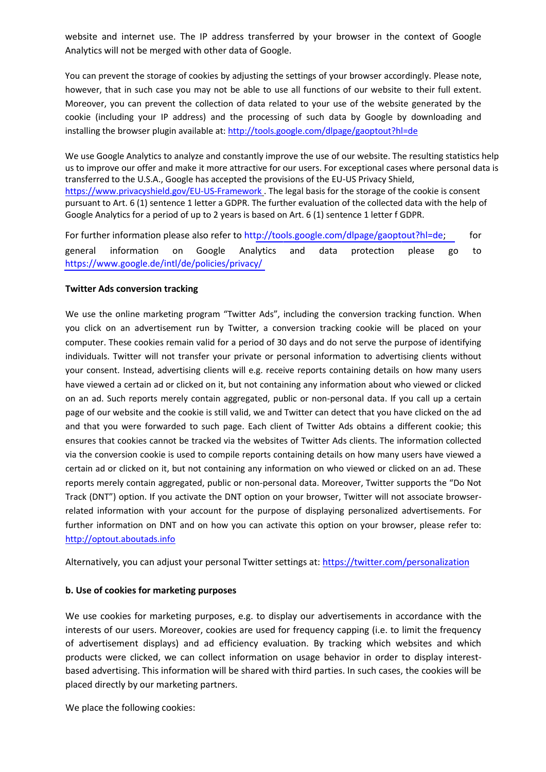website and internet use. The IP address transferred by your browser in the context of Google Analytics will not be merged with other data of Google.

You can prevent the storage of cookies by adjusting the settings of your browser accordingly. Please note, however, that in such case you may not be able to use all functions of our website to their full extent. Moreover, you can prevent the collection of data related to your use of the website generated by the cookie (including your IP address) and the processing of such data by Google by downloading and installing the browser plugin available at[: http://tools.google.com/dlpage/gaoptout?hl=de](http://tools.google.com/dlpage/gaoptout?hl=de)

We use Google Analytics to analyze and constantly improve the use of our website. The resulting statistics help us to improve our offer and make it more attractive for our users. For exceptional cases where personal data is transferred to the U.S.A., Google has accepted the provisions of the EU-US Privacy Shield, <https://www.privacyshield.gov/EU-US-Framework> . The legal basis for the storage of the cookie is consent pursuant to Art. 6 (1) sentence 1 letter a GDPR. The further evaluation of the collected data with the help of Google Analytics for a period of up to 2 years is based on Art. 6 (1) sentence 1 letter f GDPR.

For further information please also refer to [http://tools.google.com/dlpage/gaoptout?hl=de;](http://tools.google.com/dlpage/gaoptout?hl=de) for general information on Google Analytics and data protection please go to <https://www.google.de/intl/de/policies/privacy/>

#### **Twitter Ads conversion tracking**

We use the online marketing program "Twitter Ads", including the conversion tracking function. When you click on an advertisement run by Twitter, a conversion tracking cookie will be placed on your computer. These cookies remain valid for a period of 30 days and do not serve the purpose of identifying individuals. Twitter will not transfer your private or personal information to advertising clients without your consent. Instead, advertising clients will e.g. receive reports containing details on how many users have viewed a certain ad or clicked on it, but not containing any information about who viewed or clicked on an ad. Such reports merely contain aggregated, public or non-personal data. If you call up a certain page of our website and the cookie is still valid, we and Twitter can detect that you have clicked on the ad and that you were forwarded to such page. Each client of Twitter Ads obtains a different cookie; this ensures that cookies cannot be tracked via the websites of Twitter Ads clients. The information collected via the conversion cookie is used to compile reports containing details on how many users have viewed a certain ad or clicked on it, but not containing any information on who viewed or clicked on an ad. These reports merely contain aggregated, public or non-personal data. Moreover, Twitter supports the "Do Not Track (DNT") option. If you activate the DNT option on your browser, Twitter will not associate browserrelated information with your account for the purpose of displaying personalized advertisements. For further information on DNT and on how you can activate this option on your browser, please refer to: [http://optout.aboutads.info](http://optout.aboutads.info/)

Alternatively, you can adjust your personal Twitter settings at[: https://twitter.com/personalization](https://twitter.com/personalization)

#### **b. Use of cookies for marketing purposes**

We use cookies for marketing purposes, e.g. to display our advertisements in accordance with the interests of our users. Moreover, cookies are used for frequency capping (i.e. to limit the frequency of advertisement displays) and ad efficiency evaluation. By tracking which websites and which products were clicked, we can collect information on usage behavior in order to display interestbased advertising. This information will be shared with third parties. In such cases, the cookies will be placed directly by our marketing partners.

We place the following cookies: